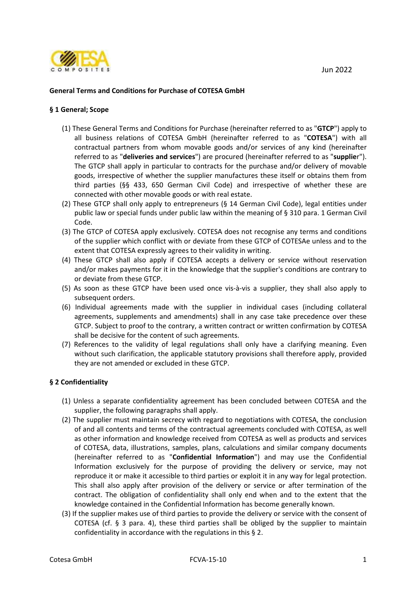Jun 2022



## **General Terms and Conditions for Purchase of COTESA GmbH**

#### **§ 1 General; Scope**

- (1) These General Terms and Conditions for Purchase (hereinafter referred to as "**GTCP**") apply to all business relations of COTESA GmbH (hereinafter referred to as "**COTESA**") with all contractual partners from whom movable goods and/or services of any kind (hereinafter referred to as "**deliveries and services**") are procured (hereinafter referred to as "**supplie**r"). The GTCP shall apply in particular to contracts for the purchase and/or delivery of movable goods, irrespective of whether the supplier manufactures these itself or obtains them from third parties (§§ 433, 650 German Civil Code) and irrespective of whether these are connected with other movable goods or with real estate.
- (2) These GTCP shall only apply to entrepreneurs (§ 14 German Civil Code), legal entities under public law or special funds under public law within the meaning of § 310 para. 1 German Civil Code.
- (3) The GTCP of COTESA apply exclusively. COTESA does not recognise any terms and conditions of the supplier which conflict with or deviate from these GTCP of COTESAe unless and to the extent that COTESA expressly agrees to their validity in writing.
- (4) These GTCP shall also apply if COTESA accepts a delivery or service without reservation and/or makes payments for it in the knowledge that the supplier's conditions are contrary to or deviate from these GTCP.
- (5) As soon as these GTCP have been used once vis-à-vis a supplier, they shall also apply to subsequent orders.
- (6) Individual agreements made with the supplier in individual cases (including collateral agreements, supplements and amendments) shall in any case take precedence over these GTCP. Subject to proof to the contrary, a written contract or written confirmation by COTESA shall be decisive for the content of such agreements.
- (7) References to the validity of legal regulations shall only have a clarifying meaning. Even without such clarification, the applicable statutory provisions shall therefore apply, provided they are not amended or excluded in these GTCP.

## **§ 2 Confidentiality**

- (1) Unless a separate confidentiality agreement has been concluded between COTESA and the supplier, the following paragraphs shall apply.
- (2) The supplier must maintain secrecy with regard to negotiations with COTESA, the conclusion of and all contents and terms of the contractual agreements concluded with COTESA, as well as other information and knowledge received from COTESA as well as products and services of COTESA, data, illustrations, samples, plans, calculations and similar company documents (hereinafter referred to as "**Confidential Information**") and may use the Confidential Information exclusively for the purpose of providing the delivery or service, may not reproduce it or make it accessible to third parties or exploit it in any way for legal protection. This shall also apply after provision of the delivery or service or after termination of the contract. The obligation of confidentiality shall only end when and to the extent that the knowledge contained in the Confidential Information has become generally known.
- (3) If the supplier makes use of third parties to provide the delivery or service with the consent of COTESA (cf. § 3 para. 4), these third parties shall be obliged by the supplier to maintain confidentiality in accordance with the regulations in this § 2.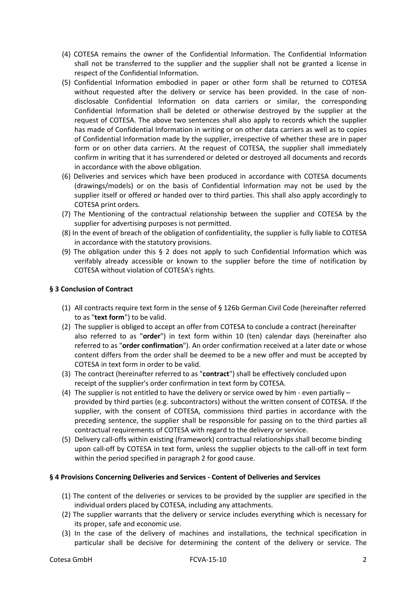- (4) COTESA remains the owner of the Confidential Information. The Confidential Information shall not be transferred to the supplier and the supplier shall not be granted a license in respect of the Confidential Information.
- (5) Confidential Information embodied in paper or other form shall be returned to COTESA without requested after the delivery or service has been provided. In the case of nondisclosable Confidential Information on data carriers or similar, the corresponding Confidential Information shall be deleted or otherwise destroyed by the supplier at the request of COTESA. The above two sentences shall also apply to records which the supplier has made of Confidential Information in writing or on other data carriers as well as to copies of Confidential Information made by the supplier, irrespective of whether these are in paper form or on other data carriers. At the request of COTESA, the supplier shall immediately confirm in writing that it has surrendered or deleted or destroyed all documents and records in accordance with the above obligation.
- (6) Deliveries and services which have been produced in accordance with COTESA documents (drawings/models) or on the basis of Confidential Information may not be used by the supplier itself or offered or handed over to third parties. This shall also apply accordingly to COTESA print orders.
- (7) The Mentioning of the contractual relationship between the supplier and COTESA by the supplier for advertising purposes is not permitted.
- (8) In the event of breach of the obligation of confidentiality, the supplier is fully liable to COTESA in accordance with the statutory provisions.
- (9) The obligation under this § 2 does not apply to such Confidential Information which was verifably already accessible or known to the supplier before the time of notification by COTESA without violation of COTESA's rights.

## **§ 3 Conclusion of Contract**

- (1) All contracts require text form in the sense of § 126b German Civil Code (hereinafter referred to as "**text form**") to be valid.
- (2) The supplier is obliged to accept an offer from COTESA to conclude a contract (hereinafter also referred to as "**order**") in text form within 10 (ten) calendar days (hereinafter also referred to as "**order confirmation**"). An order confirmation received at a later date or whose content differs from the order shall be deemed to be a new offer and must be accepted by COTESA in text form in order to be valid.
- (3) The contract (hereinafter referred to as "**contract**") shall be effectively concluded upon receipt of the supplier's order confirmation in text form by COTESA.
- (4) The supplier is not entitled to have the delivery or service owed by him even partially provided by third parties (e.g. subcontractors) without the written consent of COTESA. If the supplier, with the consent of COTESA, commissions third parties in accordance with the preceding sentence, the supplier shall be responsible for passing on to the third parties all contractual requirements of COTESA with regard to the delivery or service.
- (5) Delivery call-offs within existing (framework) contractual relationships shall become binding upon call-off by COTESA in text form, unless the supplier objects to the call-off in text form within the period specified in paragraph 2 for good cause.

## **§ 4 Provisions Concerning Deliveries and Services - Content of Deliveries and Services**

- (1) The content of the deliveries or services to be provided by the supplier are specified in the individual orders placed by COTESA, including any attachments.
- (2) The supplier warrants that the delivery or service includes everything which is necessary for its proper, safe and economic use.
- (3) In the case of the delivery of machines and installations, the technical specification in particular shall be decisive for determining the content of the delivery or service. The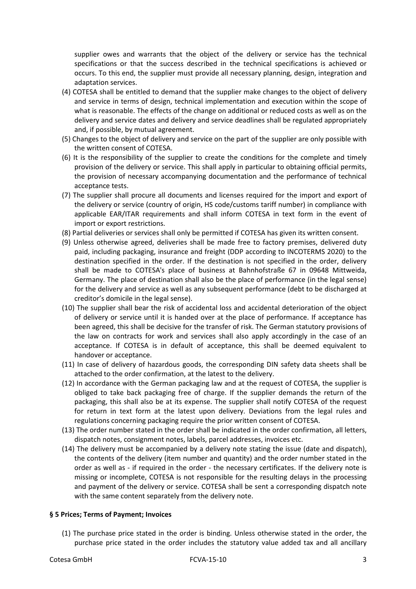supplier owes and warrants that the object of the delivery or service has the technical specifications or that the success described in the technical specifications is achieved or occurs. To this end, the supplier must provide all necessary planning, design, integration and adaptation services.

- (4) COTESA shall be entitled to demand that the supplier make changes to the object of delivery and service in terms of design, technical implementation and execution within the scope of what is reasonable. The effects of the change on additional or reduced costs as well as on the delivery and service dates and delivery and service deadlines shall be regulated appropriately and, if possible, by mutual agreement.
- (5) Changes to the object of delivery and service on the part of the supplier are only possible with the written consent of COTESA.
- (6) It is the responsibility of the supplier to create the conditions for the complete and timely provision of the delivery or service. This shall apply in particular to obtaining official permits, the provision of necessary accompanying documentation and the performance of technical acceptance tests.
- (7) The supplier shall procure all documents and licenses required for the import and export of the delivery or service (country of origin, HS code/customs tariff number) in compliance with applicable EAR/ITAR requirements and shall inform COTESA in text form in the event of import or export restrictions.
- (8) Partial deliveries or services shall only be permitted if COTESA has given its written consent.
- (9) Unless otherwise agreed, deliveries shall be made free to factory premises, delivered duty paid, including packaging, insurance and freight (DDP according to INCOTERMS 2020) to the destination specified in the order. If the destination is not specified in the order, delivery shall be made to COTESA's place of business at Bahnhofstraße 67 in 09648 Mittweida, Germany. The place of destination shall also be the place of performance (in the legal sense) for the delivery and service as well as any subsequent performance (debt to be discharged at creditor's domicile in the legal sense).
- (10) The supplier shall bear the risk of accidental loss and accidental deterioration of the object of delivery or service until it is handed over at the place of performance. If acceptance has been agreed, this shall be decisive for the transfer of risk. The German statutory provisions of the law on contracts for work and services shall also apply accordingly in the case of an acceptance. If COTESA is in default of acceptance, this shall be deemed equivalent to handover or acceptance.
- (11) In case of delivery of hazardous goods, the corresponding DIN safety data sheets shall be attached to the order confirmation, at the latest to the delivery.
- (12) In accordance with the German packaging law and at the request of COTESA, the supplier is obliged to take back packaging free of charge. If the supplier demands the return of the packaging, this shall also be at its expense. The supplier shall notify COTESA of the request for return in text form at the latest upon delivery. Deviations from the legal rules and regulations concerning packaging require the prior written consent of COTESA.
- (13) The order number stated in the order shall be indicated in the order confirmation, all letters, dispatch notes, consignment notes, labels, parcel addresses, invoices etc.
- (14) The delivery must be accompanied by a delivery note stating the issue (date and dispatch), the contents of the delivery (item number and quantity) and the order number stated in the order as well as - if required in the order - the necessary certificates. If the delivery note is missing or incomplete, COTESA is not responsible for the resulting delays in the processing and payment of the delivery or service. COTESA shall be sent a corresponding dispatch note with the same content separately from the delivery note.

#### **§ 5 Prices; Terms of Payment; Invoices**

(1) The purchase price stated in the order is binding. Unless otherwise stated in the order, the purchase price stated in the order includes the statutory value added tax and all ancillary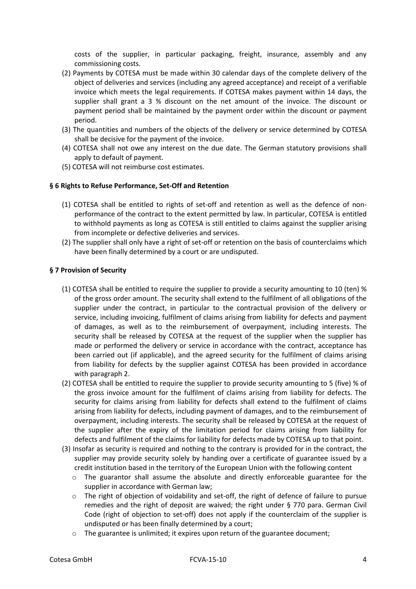costs of the supplier, in particular packaging, freight, insurance, assembly and any commissioning costs.

- (2) Payments by COTESA must be made within 30 calendar days of the complete delivery of the object of deliveries and services (including any agreed acceptance) and receipt of a verifiable invoice which meets the legal requirements. If COTESA makes payment within 14 days, the supplier shall grant a 3 % discount on the net amount of the invoice. The discount or payment period shall be maintained by the payment order within the discount or payment period.
- (3) The quantities and numbers of the objects of the delivery or service determined by COTESA shall be decisive for the payment of the invoice.
- (4) COTESA shall not owe any interest on the due date. The German statutory provisions shall apply to default of payment.
- (5) COTESA will not reimburse cost estimates.

## **§ 6 Rights to Refuse Performance, Set-Off and Retention**

- (1) COTESA shall be entitled to rights of set-off and retention as well as the defence of nonperformance of the contract to the extent permitted by law. In particular, COTESA is entitled to withhold payments as long as COTESA is still entitled to claims against the supplier arising from incomplete or defective deliveries and services.
- (2) The supplier shall only have a right of set-off or retention on the basis of counterclaims which have been finally determined by a court or are undisputed.

## **§ 7 Provision of Security**

- (1) COTESA shall be entitled to require the supplier to provide a security amounting to 10 (ten) % of the gross order amount. The security shall extend to the fulfilment of all obligations of the supplier under the contract, in particular to the contractual provision of the delivery or service, including invoicing, fulfilment of claims arising from liability for defects and payment of damages, as well as to the reimbursement of overpayment, including interests. The security shall be released by COTESA at the request of the supplier when the supplier has made or performed the delivery or service in accordance with the contract, acceptance has been carried out (if applicable), and the agreed security for the fulfilment of claims arising from liability for defects by the supplier against COTESA has been provided in accordance with paragraph 2.
- (2) COTESA shall be entitled to require the supplier to provide security amounting to 5 (five) % of the gross invoice amount for the fulfilment of claims arising from liability for defects. The security for claims arising from liability for defects shall extend to the fulfilment of claims arising from liability for defects, including payment of damages, and to the reimbursement of overpayment, including interests. The security shall be released by COTESA at the request of the supplier after the expiry of the limitation period for claims arising from liability for defects and fulfilment of the claims for liability for defects made by COTESA up to that point.
- (3) Insofar as security is required and nothing to the contrary is provided for in the contract, the supplier may provide security solely by handing over a certificate of guarantee issued by a credit institution based in the territory of the European Union with the following content
	- $\circ$  The guarantor shall assume the absolute and directly enforceable guarantee for the supplier in accordance with German law;
	- $\circ$  The right of objection of voidability and set-off, the right of defence of failure to pursue remedies and the right of deposit are waived; the right under § 770 para. German Civil Code (right of objection to set-off) does not apply if the counterclaim of the supplier is undisputed or has been finally determined by a court;
	- $\circ$  The guarantee is unlimited; it expires upon return of the guarantee document;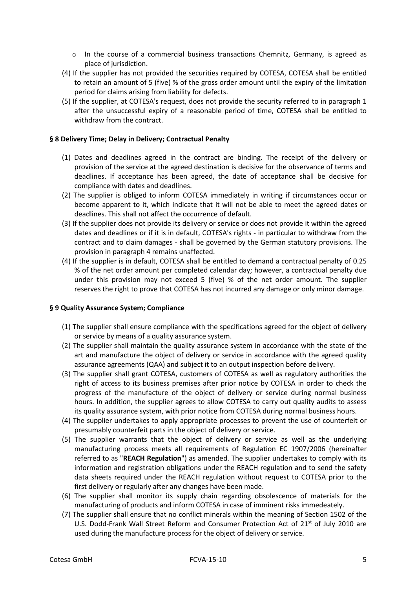- $\circ$  In the course of a commercial business transactions Chemnitz, Germany, is agreed as place of jurisdiction.
- (4) If the supplier has not provided the securities required by COTESA, COTESA shall be entitled to retain an amount of 5 (five) % of the gross order amount until the expiry of the limitation period for claims arising from liability for defects.
- (5) If the supplier, at COTESA's request, does not provide the security referred to in paragraph 1 after the unsuccessful expiry of a reasonable period of time, COTESA shall be entitled to withdraw from the contract.

## **§ 8 Delivery Time; Delay in Delivery; Contractual Penalty**

- (1) Dates and deadlines agreed in the contract are binding. The receipt of the delivery or provision of the service at the agreed destination is decisive for the observance of terms and deadlines. If acceptance has been agreed, the date of acceptance shall be decisive for compliance with dates and deadlines.
- (2) The supplier is obliged to inform COTESA immediately in writing if circumstances occur or become apparent to it, which indicate that it will not be able to meet the agreed dates or deadlines. This shall not affect the occurrence of default.
- (3) If the supplier does not provide its delivery or service or does not provide it within the agreed dates and deadlines or if it is in default, COTESA's rights - in particular to withdraw from the contract and to claim damages - shall be governed by the German statutory provisions. The provision in paragraph 4 remains unaffected.
- (4) If the supplier is in default, COTESA shall be entitled to demand a contractual penalty of 0.25 % of the net order amount per completed calendar day; however, a contractual penalty due under this provision may not exceed 5 (five) % of the net order amount. The supplier reserves the right to prove that COTESA has not incurred any damage or only minor damage.

## **§ 9 Quality Assurance System; Compliance**

- (1) The supplier shall ensure compliance with the specifications agreed for the object of delivery or service by means of a quality assurance system.
- (2) The supplier shall maintain the quality assurance system in accordance with the state of the art and manufacture the object of delivery or service in accordance with the agreed quality assurance agreements (QAA) and subject it to an output inspection before delivery.
- (3) The supplier shall grant COTESA, customers of COTESA as well as regulatory authorities the right of access to its business premises after prior notice by COTESA in order to check the progress of the manufacture of the object of delivery or service during normal business hours. In addition, the supplier agrees to allow COTESA to carry out quality audits to assess its quality assurance system, with prior notice from COTESA during normal business hours.
- (4) The supplier undertakes to apply appropriate processes to prevent the use of counterfeit or presumably counterfeit parts in the object of delivery or service.
- (5) The supplier warrants that the object of delivery or service as well as the underlying manufacturing process meets all requirements of Regulation EC 1907/2006 (hereinafter referred to as "**REACH Regulation**") as amended. The supplier undertakes to comply with its information and registration obligations under the REACH regulation and to send the safety data sheets required under the REACH regulation without request to COTESA prior to the first delivery or regularly after any changes have been made.
- (6) The supplier shall monitor its supply chain regarding obsolescence of materials for the manufacturing of products and inform COTESA in case of imminent risks immedeately.
- (7) The supplier shall ensure that no conflict minerals within the meaning of Section 1502 of the U.S. Dodd-Frank Wall Street Reform and Consumer Protection Act of  $21<sup>st</sup>$  of July 2010 are used during the manufacture process for the object of delivery or service.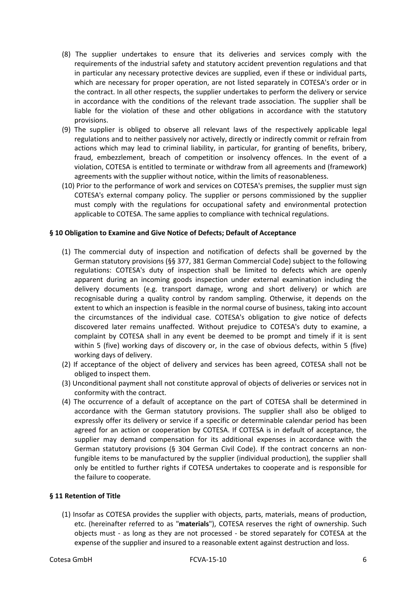- (8) The supplier undertakes to ensure that its deliveries and services comply with the requirements of the industrial safety and statutory accident prevention regulations and that in particular any necessary protective devices are supplied, even if these or individual parts, which are necessary for proper operation, are not listed separately in COTESA's order or in the contract. In all other respects, the supplier undertakes to perform the delivery or service in accordance with the conditions of the relevant trade association. The supplier shall be liable for the violation of these and other obligations in accordance with the statutory provisions.
- (9) The supplier is obliged to observe all relevant laws of the respectively applicable legal regulations and to neither passively nor actively, directly or indirectly commit or refrain from actions which may lead to criminal liability, in particular, for granting of benefits, bribery, fraud, embezzlement, breach of competition or insolvency offences. In the event of a violation, COTESA is entitled to terminate or withdraw from all agreements and (framework) agreements with the supplier without notice, within the limits of reasonableness.
- (10) Prior to the performance of work and services on COTESA's premises, the supplier must sign COTESA's external company policy. The supplier or persons commissioned by the supplier must comply with the regulations for occupational safety and environmental protection applicable to COTESA. The same applies to compliance with technical regulations.

#### **§ 10 Obligation to Examine and Give Notice of Defects; Default of Acceptance**

- (1) The commercial duty of inspection and notification of defects shall be governed by the German statutory provisions (§§ 377, 381 German Commercial Code) subject to the following regulations: COTESA's duty of inspection shall be limited to defects which are openly apparent during an incoming goods inspection under external examination including the delivery documents (e.g. transport damage, wrong and short delivery) or which are recognisable during a quality control by random sampling. Otherwise, it depends on the extent to which an inspection is feasible in the normal course of business, taking into account the circumstances of the individual case. COTESA's obligation to give notice of defects discovered later remains unaffected. Without prejudice to COTESA's duty to examine, a complaint by COTESA shall in any event be deemed to be prompt and timely if it is sent within 5 (five) working days of discovery or, in the case of obvious defects, within 5 (five) working days of delivery.
- (2) If acceptance of the object of delivery and services has been agreed, COTESA shall not be obliged to inspect them.
- (3) Unconditional payment shall not constitute approval of objects of deliveries or services not in conformity with the contract.
- (4) The occurrence of a default of acceptance on the part of COTESA shall be determined in accordance with the German statutory provisions. The supplier shall also be obliged to expressly offer its delivery or service if a specific or determinable calendar period has been agreed for an action or cooperation by COTESA. If COTESA is in default of acceptance, the supplier may demand compensation for its additional expenses in accordance with the German statutory provisions (§ 304 German Civil Code). If the contract concerns an nonfungible items to be manufactured by the supplier (individual production), the supplier shall only be entitled to further rights if COTESA undertakes to cooperate and is responsible for the failure to cooperate.

#### **§ 11 Retention of Title**

(1) Insofar as COTESA provides the supplier with objects, parts, materials, means of production, etc. (hereinafter referred to as "**materials**"), COTESA reserves the right of ownership. Such objects must - as long as they are not processed - be stored separately for COTESA at the expense of the supplier and insured to a reasonable extent against destruction and loss.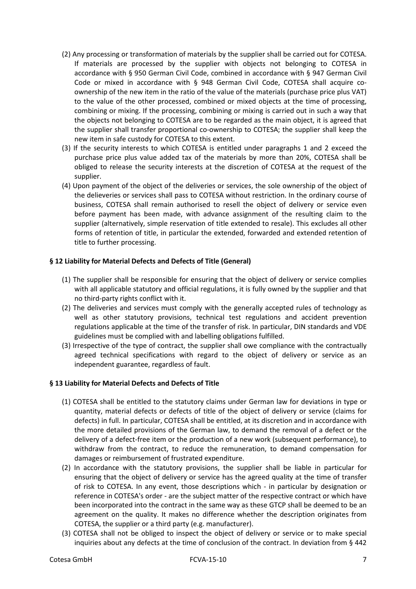- (2) Any processing or transformation of materials by the supplier shall be carried out for COTESA. If materials are processed by the supplier with objects not belonging to COTESA in accordance with § 950 German Civil Code, combined in accordance with § 947 German Civil Code or mixed in accordance with § 948 German Civil Code, COTESA shall acquire coownership of the new item in the ratio of the value of the materials (purchase price plus VAT) to the value of the other processed, combined or mixed objects at the time of processing, combining or mixing. If the processing, combining or mixing is carried out in such a way that the objects not belonging to COTESA are to be regarded as the main object, it is agreed that the supplier shall transfer proportional co-ownership to COTESA; the supplier shall keep the new item in safe custody for COTESA to this extent.
- (3) If the security interests to which COTESA is entitled under paragraphs 1 and 2 exceed the purchase price plus value added tax of the materials by more than 20%, COTESA shall be obliged to release the security interests at the discretion of COTESA at the request of the supplier.
- (4) Upon payment of the object of the deliveries or services, the sole ownership of the object of the delieveries or services shall pass to COTESA without restriction. In the ordinary course of business, COTESA shall remain authorised to resell the object of delivery or service even before payment has been made, with advance assignment of the resulting claim to the supplier (alternatively, simple reservation of title extended to resale). This excludes all other forms of retention of title, in particular the extended, forwarded and extended retention of title to further processing.

## **§ 12 Liability for Material Defects and Defects of Title (General)**

- (1) The supplier shall be responsible for ensuring that the object of delivery or service complies with all applicable statutory and official regulations, it is fully owned by the supplier and that no third-party rights conflict with it.
- (2) The deliveries and services must comply with the generally accepted rules of technology as well as other statutory provisions, technical test regulations and accident prevention regulations applicable at the time of the transfer of risk. In particular, DIN standards and VDE guidelines must be complied with and labelling obligations fulfilled.
- (3) Irrespective of the type of contract, the supplier shall owe compliance with the contractually agreed technical specifications with regard to the object of delivery or service as an independent guarantee, regardless of fault.

# **§ 13 Liability for Material Defects and Defects of Title**

- (1) COTESA shall be entitled to the statutory claims under German law for deviations in type or quantity, material defects or defects of title of the object of delivery or service (claims for defects) in full. In particular, COTESA shall be entitled, at its discretion and in accordance with the more detailed provisions of the German law, to demand the removal of a defect or the delivery of a defect-free item or the production of a new work (subsequent performance), to withdraw from the contract, to reduce the remuneration, to demand compensation for damages or reimbursement of frustrated expenditure.
- (2) In accordance with the statutory provisions, the supplier shall be liable in particular for ensuring that the object of delivery or service has the agreed quality at the time of transfer of risk to COTESA. In any event, those descriptions which - in particular by designation or reference in COTESA's order - are the subject matter of the respective contract or which have been incorporated into the contract in the same way as these GTCP shall be deemed to be an agreement on the quality. It makes no difference whether the description originates from COTESA, the supplier or a third party (e.g. manufacturer).
- (3) COTESA shall not be obliged to inspect the object of delivery or service or to make special inquiries about any defects at the time of conclusion of the contract. In deviation from § 442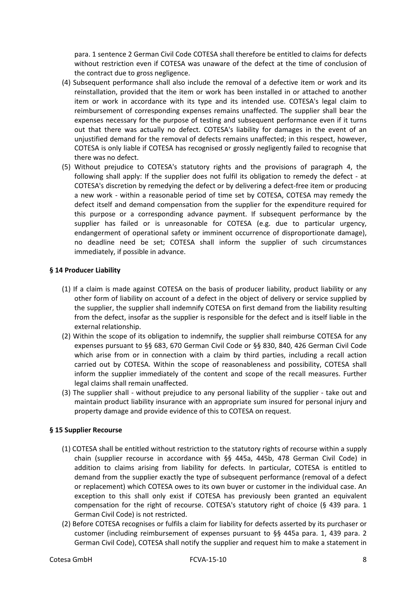para. 1 sentence 2 German Civil Code COTESA shall therefore be entitled to claims for defects without restriction even if COTESA was unaware of the defect at the time of conclusion of the contract due to gross negligence.

- (4) Subsequent performance shall also include the removal of a defective item or work and its reinstallation, provided that the item or work has been installed in or attached to another item or work in accordance with its type and its intended use. COTESA's legal claim to reimbursement of corresponding expenses remains unaffected. The supplier shall bear the expenses necessary for the purpose of testing and subsequent performance even if it turns out that there was actually no defect. COTESA's liability for damages in the event of an unjustified demand for the removal of defects remains unaffected; in this respect, however, COTESA is only liable if COTESA has recognised or grossly negligently failed to recognise that there was no defect.
- (5) Without prejudice to COTESA's statutory rights and the provisions of paragraph 4, the following shall apply: If the supplier does not fulfil its obligation to remedy the defect - at COTESA's discretion by remedying the defect or by delivering a defect-free item or producing a new work - within a reasonable period of time set by COTESA, COTESA may remedy the defect itself and demand compensation from the supplier for the expenditure required for this purpose or a corresponding advance payment. If subsequent performance by the supplier has failed or is unreasonable for COTESA (e.g. due to particular urgency, endangerment of operational safety or imminent occurrence of disproportionate damage), no deadline need be set; COTESA shall inform the supplier of such circumstances immediately, if possible in advance.

## **§ 14 Producer Liability**

- (1) If a claim is made against COTESA on the basis of producer liability, product liability or any other form of liability on account of a defect in the object of delivery or service supplied by the supplier, the supplier shall indemnify COTESA on first demand from the liability resulting from the defect, insofar as the supplier is responsible for the defect and is itself liable in the external relationship.
- (2) Within the scope of its obligation to indemnify, the supplier shall reimburse COTESA for any expenses pursuant to §§ 683, 670 German Civil Code or §§ 830, 840, 426 German Civil Code which arise from or in connection with a claim by third parties, including a recall action carried out by COTESA. Within the scope of reasonableness and possibility, COTESA shall inform the supplier immediately of the content and scope of the recall measures. Further legal claims shall remain unaffected.
- (3) The supplier shall without prejudice to any personal liability of the supplier take out and maintain product liability insurance with an appropriate sum insured for personal injury and property damage and provide evidence of this to COTESA on request.

# **§ 15 Supplier Recourse**

- (1) COTESA shall be entitled without restriction to the statutory rights of recourse within a supply chain (supplier recourse in accordance with §§ 445a, 445b, 478 German Civil Code) in addition to claims arising from liability for defects. In particular, COTESA is entitled to demand from the supplier exactly the type of subsequent performance (removal of a defect or replacement) which COTESA owes to its own buyer or customer in the individual case. An exception to this shall only exist if COTESA has previously been granted an equivalent compensation for the right of recourse. COTESA's statutory right of choice (§ 439 para. 1 German Civil Code) is not restricted.
- (2) Before COTESA recognises or fulfils a claim for liability for defects asserted by its purchaser or customer (including reimbursement of expenses pursuant to §§ 445a para. 1, 439 para. 2 German Civil Code), COTESA shall notify the supplier and request him to make a statement in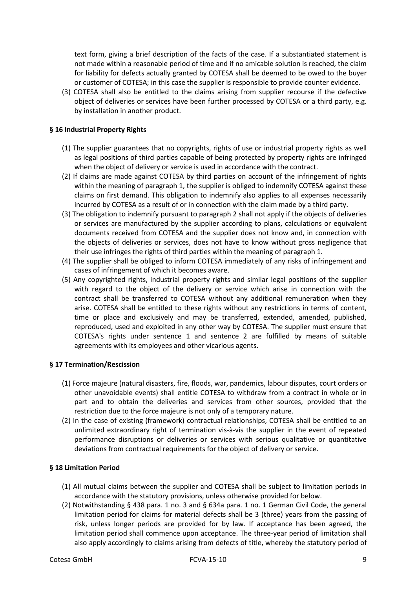text form, giving a brief description of the facts of the case. If a substantiated statement is not made within a reasonable period of time and if no amicable solution is reached, the claim for liability for defects actually granted by COTESA shall be deemed to be owed to the buyer or customer of COTESA; in this case the supplier is responsible to provide counter evidence.

(3) COTESA shall also be entitled to the claims arising from supplier recourse if the defective object of deliveries or services have been further processed by COTESA or a third party, e.g. by installation in another product.

## **§ 16 Industrial Property Rights**

- (1) The supplier guarantees that no copyrights, rights of use or industrial property rights as well as legal positions of third parties capable of being protected by property rights are infringed when the object of delivery or service is used in accordance with the contract.
- (2) If claims are made against COTESA by third parties on account of the infringement of rights within the meaning of paragraph 1, the supplier is obliged to indemnify COTESA against these claims on first demand. This obligation to indemnify also applies to all expenses necessarily incurred by COTESA as a result of or in connection with the claim made by a third party.
- (3) The obligation to indemnify pursuant to paragraph 2 shall not apply if the objects of deliveries or services are manufactured by the supplier according to plans, calculations or equivalent documents received from COTESA and the supplier does not know and, in connection with the objects of deliveries or services, does not have to know without gross negligence that their use infringes the rights of third parties within the meaning of paragraph 1.
- (4) The supplier shall be obliged to inform COTESA immediately of any risks of infringement and cases of infringement of which it becomes aware.
- (5) Any copyrighted rights, industrial property rights and similar legal positions of the supplier with regard to the object of the delivery or service which arise in connection with the contract shall be transferred to COTESA without any additional remuneration when they arise. COTESA shall be entitled to these rights without any restrictions in terms of content, time or place and exclusively and may be transferred, extended, amended, published, reproduced, used and exploited in any other way by COTESA. The supplier must ensure that COTESA's rights under sentence 1 and sentence 2 are fulfilled by means of suitable agreements with its employees and other vicarious agents.

## **§ 17 Termination/Rescission**

- (1) Force majeure (natural disasters, fire, floods, war, pandemics, labour disputes, court orders or other unavoidable events) shall entitle COTESA to withdraw from a contract in whole or in part and to obtain the deliveries and services from other sources, provided that the restriction due to the force majeure is not only of a temporary nature.
- (2) In the case of existing (framework) contractual relationships, COTESA shall be entitled to an unlimited extraordinary right of termination vis-à-vis the supplier in the event of repeated performance disruptions or deliveries or services with serious qualitative or quantitative deviations from contractual requirements for the object of delivery or service.

## **§ 18 Limitation Period**

- (1) All mutual claims between the supplier and COTESA shall be subject to limitation periods in accordance with the statutory provisions, unless otherwise provided for below.
- (2) Notwithstanding § 438 para. 1 no. 3 and § 634a para. 1 no. 1 German Civil Code, the general limitation period for claims for material defects shall be 3 (three) years from the passing of risk, unless longer periods are provided for by law. If acceptance has been agreed, the limitation period shall commence upon acceptance. The three-year period of limitation shall also apply accordingly to claims arising from defects of title, whereby the statutory period of